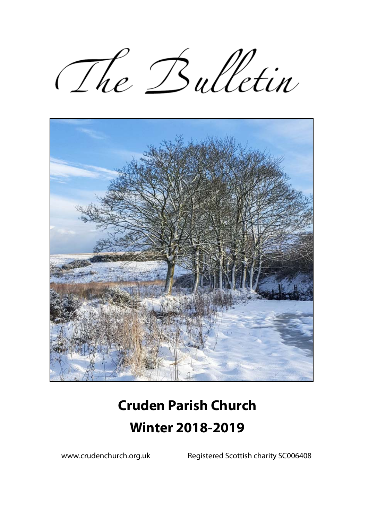The Bulletin



# **Cruden Parish Church Winter 2018-2019**

www.crudenchurch.org.uk Registered Scottish charity SC006408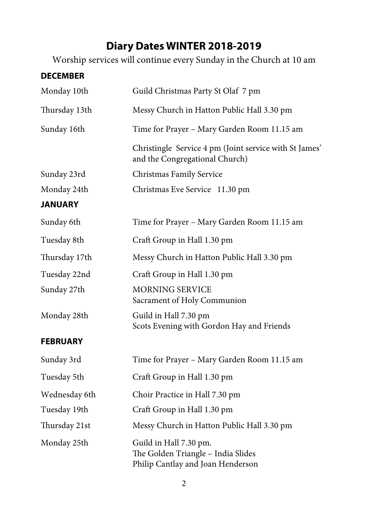# **Diary Dates WINTER 2018-2019**

Worship services will continue every Sunday in the Church at 10 am

| <b>DECEMBER</b> |                                                                                                   |  |  |  |
|-----------------|---------------------------------------------------------------------------------------------------|--|--|--|
| Monday 10th     | Guild Christmas Party St Olaf 7 pm                                                                |  |  |  |
| Thursday 13th   | Messy Church in Hatton Public Hall 3.30 pm                                                        |  |  |  |
| Sunday 16th     | Time for Prayer - Mary Garden Room 11.15 am                                                       |  |  |  |
|                 | Christingle Service 4 pm (Joint service with St James'<br>and the Congregational Church)          |  |  |  |
| Sunday 23rd     | Christmas Family Service                                                                          |  |  |  |
| Monday 24th     | Christmas Eve Service 11.30 pm                                                                    |  |  |  |
| <b>JANUARY</b>  |                                                                                                   |  |  |  |
| Sunday 6th      | Time for Prayer - Mary Garden Room 11.15 am                                                       |  |  |  |
| Tuesday 8th     | Craft Group in Hall 1.30 pm                                                                       |  |  |  |
| Thursday 17th   | Messy Church in Hatton Public Hall 3.30 pm                                                        |  |  |  |
| Tuesday 22nd    | Craft Group in Hall 1.30 pm                                                                       |  |  |  |
| Sunday 27th     | <b>MORNING SERVICE</b><br>Sacrament of Holy Communion                                             |  |  |  |
| Monday 28th     | Guild in Hall 7.30 pm<br>Scots Evening with Gordon Hay and Friends                                |  |  |  |
| <b>FEBRUARY</b> |                                                                                                   |  |  |  |
| Sunday 3rd      | Time for Prayer - Mary Garden Room 11.15 am                                                       |  |  |  |
| Tuesday 5th     | Craft Group in Hall 1.30 pm                                                                       |  |  |  |
| Wednesday 6th   | Choir Practice in Hall 7.30 pm                                                                    |  |  |  |
| Tuesday 19th    | Craft Group in Hall 1.30 pm                                                                       |  |  |  |
| Thursday 21st   | Messy Church in Hatton Public Hall 3.30 pm                                                        |  |  |  |
| Monday 25th     | Guild in Hall 7.30 pm.<br>The Golden Triangle - India Slides<br>Philip Cantlay and Joan Henderson |  |  |  |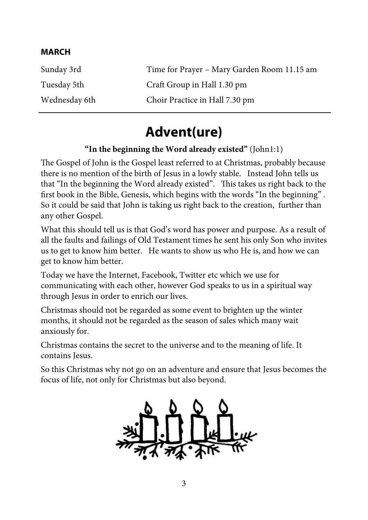#### **MARCH**

| Sunday 3rd    | Time for Prayer - Mary Garden Room 11.15 am |
|---------------|---------------------------------------------|
| Tuesday 5th   | Craft Group in Hall 1.30 pm                 |
| Wednesday 6th | Choir Practice in Hall 7.30 pm              |

# **Advent(ure)**

#### **"In the beginning the Word already existed"** (John1:1)

The Gospel of John is the Gospel least referred to at Christmas, probably because there is no mention of the birth of Jesus in a lowly stable. Instead John tells us that "In the beginning the Word already existed". This takes us right back to the first book in the Bible, Genesis, which begins with the words "In the beginning" . So it could be said that John is taking us right back to the creation, further than any other Gospel.

What this should tell us is that God's word has power and purpose. As a result of all the faults and failings of Old Testament times he sent his only Son who invites us to get to know him better. He wants to show us who He is, and how we can get to know him better.

Today we have the Internet, Facebook, Twitter etc which we use for communicating with each other, however God speaks to us in a spiritual way through Jesus in order to enrich our lives.

Christmas should not be regarded as some event to brighten up the winter months, it should not be regarded as the season of sales which many wait anxiously for.

Christmas contains the secret to the universe and to the meaning of life. It contains Jesus.

So this Christmas why not go on an adventure and ensure that Jesus becomes the focus of life, not only for Christmas but also beyond.

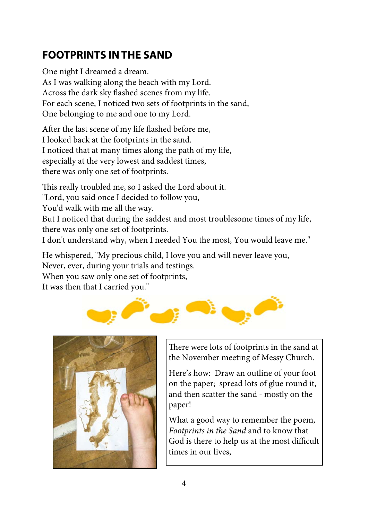# **FOOTPRINTS IN THE SAND**

One night I dreamed a dream. As I was walking along the beach with my Lord. Across the dark sky flashed scenes from my life. For each scene, I noticed two sets of footprints in the sand, One belonging to me and one to my Lord.

After the last scene of my life flashed before me, I looked back at the footprints in the sand. I noticed that at many times along the path of my life, especially at the very lowest and saddest times, there was only one set of footprints.

This really troubled me, so I asked the Lord about it. "Lord, you said once I decided to follow you, You'd walk with me all the way. But I noticed that during the saddest and most troublesome times of my life, there was only one set of footprints. I don't understand why, when I needed You the most, You would leave me."

He whispered, "My precious child, I love you and will never leave you, Never, ever, during your trials and testings. When you saw only one set of footprints,

It was then that I carried you."





There were lots of footprints in the sand at the November meeting of Messy Church.

Here's how: Draw an outline of your foot on the paper; spread lots of glue round it, and then scatter the sand - mostly on the paper!

What a good way to remember the poem, *Footprints in the Sand* and to know that God is there to help us at the most difficult times in our lives,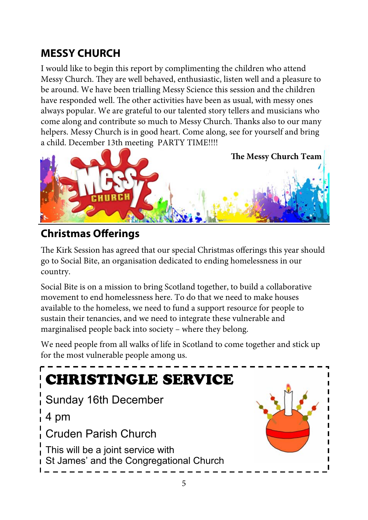# **MESSY CHURCH**

I would like to begin this report by complimenting the children who attend Messy Church. They are well behaved, enthusiastic, listen well and a pleasure to be around. We have been trialling Messy Science this session and the children have responded well. The other activities have been as usual, with messy ones always popular. We are grateful to our talented story tellers and musicians who come along and contribute so much to Messy Church. Thanks also to our many helpers. Messy Church is in good heart. Come along, see for yourself and bring a child. December 13th meeting PARTY TIME!!!!



### **Christmas Offerings**

The Kirk Session has agreed that our special Christmas offerings this year should go to Social Bite, an organisation dedicated to ending homelessness in our country.

Social Bite is on a mission to bring Scotland together, to build a collaborative movement to end homelessness here. To do that we need to make houses available to the homeless, we need to fund a support resource for people to sustain their tenancies, and we need to integrate these vulnerable and marginalised people back into society – where they belong.

We need people from all walks of life in Scotland to come together and stick up for the most vulnerable people among us.

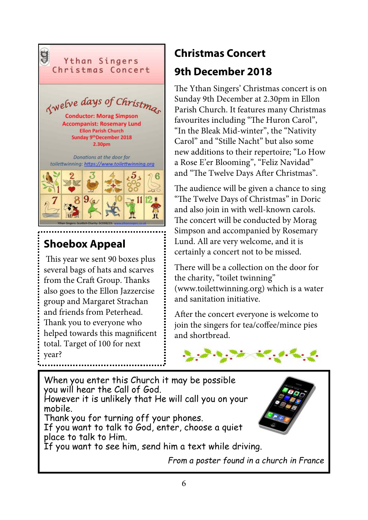

# **Shoebox Appeal**

 This year we sent 90 boxes plus several bags of hats and scarves from the Craft Group. Thanks also goes to the Ellon Jazzercise group and Margaret Strachan and friends from Peterhead. Thank you to everyone who helped towards this magnificent total. Target of 100 for next year?

# **Christmas Concert 9th December 2018**

The Ythan Singers' Christmas concert is on Sunday 9th December at 2.30pm in Ellon Parish Church. It features many Christmas favourites including "The Huron Carol", "In the Bleak Mid-winter", the "Nativity Carol" and "Stille Nacht" but also some new additions to their repertoire; "Lo How a Rose E'er Blooming", "Feliz Navidad" and "The Twelve Days After Christmas".

The audience will be given a chance to sing "The Twelve Days of Christmas" in Doric and also join in with well-known carols. The concert will be conducted by Morag Simpson and accompanied by Rosemary Lund. All are very welcome, and it is certainly a concert not to be missed.

There will be a collection on the door for the charity, "toilet twinning" (www.toilettwinning.org) which is a water and sanitation initiative.

After the concert everyone is welcome to join the singers for tea/coffee/mince pies and shortbread.



When you enter this Church it may be possible you will hear the Call of God. However it is unlikely that He will call you on your mobile. Thank you for turning off your phones. If you want to talk to God, enter, choose a quiet place to talk to Him. If you want to see him, send him a text while driving. *From a poster found in a church in France*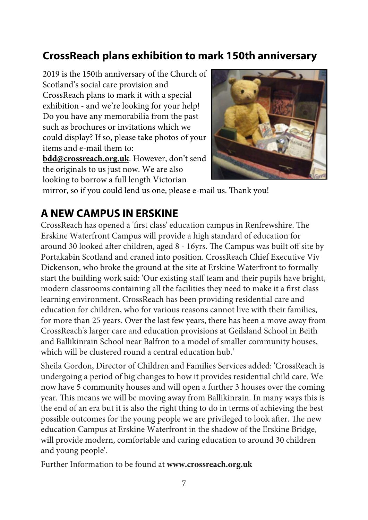### **CrossReach plans exhibition to mark 150th anniversary**

2019 is the 150th anniversary of the Church of Scotland's social care provision and CrossReach plans to mark it with a special exhibition - and we're looking for your help! Do you have any memorabilia from the past such as brochures or invitations which we could display? If so, please take photos of your items and e-mail them to:

**bdd@crossreach.org.uk**. However, don't send the originals to us just now. We are also looking to borrow a full length Victorian



mirror, so if you could lend us one, please e-mail us. Thank you!

#### **A NEW CAMPUS IN ERSKINE**

CrossReach has opened a 'first class' education campus in Renfrewshire. The Erskine Waterfront Campus will provide a high standard of education for around 30 looked after children, aged 8 - 16yrs. The Campus was built off site by Portakabin Scotland and craned into position. CrossReach Chief Executive Viv Dickenson, who broke the ground at the site at Erskine Waterfront to formally start the building work said: 'Our existing staff team and their pupils have bright, modern classrooms containing all the facilities they need to make it a first class learning environment. CrossReach has been providing residential care and education for children, who for various reasons cannot live with their families, for more than 25 years. Over the last few years, there has been a move away from CrossReach's larger care and education provisions at Geilsland School in Beith and Ballikinrain School near Balfron to a model of smaller community houses, which will be clustered round a central education hub.'

Sheila Gordon, Director of Children and Families Services added: 'CrossReach is undergoing a period of big changes to how it provides residential child care. We now have 5 community houses and will open a further 3 houses over the coming year. This means we will be moving away from Ballikinrain. In many ways this is the end of an era but it is also the right thing to do in terms of achieving the best possible outcomes for the young people we are privileged to look after. The new education Campus at Erskine Waterfront in the shadow of the Erskine Bridge, will provide modern, comfortable and caring education to around 30 children and young people'.

Further Information to be found at **www.crossreach.org.uk**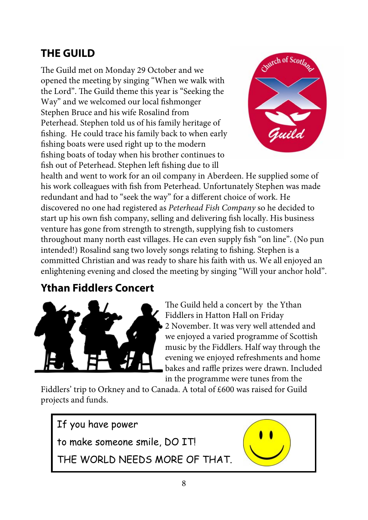### **THE GUILD**

The Guild met on Monday 29 October and we opened the meeting by singing "When we walk with the Lord". The Guild theme this year is "Seeking the Way" and we welcomed our local fishmonger Stephen Bruce and his wife Rosalind from Peterhead. Stephen told us of his family heritage of fishing. He could trace his family back to when early fishing boats were used right up to the modern fishing boats of today when his brother continues to fish out of Peterhead. Stephen left fishing due to ill



health and went to work for an oil company in Aberdeen. He supplied some of his work colleagues with fish from Peterhead. Unfortunately Stephen was made redundant and had to "seek the way" for a different choice of work. He discovered no one had registered as *Peterhead Fish Company* so he decided to start up his own fish company, selling and delivering fish locally. His business venture has gone from strength to strength, supplying fish to customers throughout many north east villages. He can even supply fish "on line". (No pun intended!) Rosalind sang two lovely songs relating to fishing. Stephen is a committed Christian and was ready to share his faith with us. We all enjoyed an enlightening evening and closed the meeting by singing "Will your anchor hold".

### **Ythan Fiddlers Concert**



The Guild held a concert by the Ythan Fiddlers in Hatton Hall on Friday 2 November. It was very well attended and we enjoyed a varied programme of Scottish music by the Fiddlers. Half way through the evening we enjoyed refreshments and home bakes and raffle prizes were drawn. Included in the programme were tunes from the

Fiddlers' trip to Orkney and to Canada. A total of £600 was raised for Guild projects and funds.

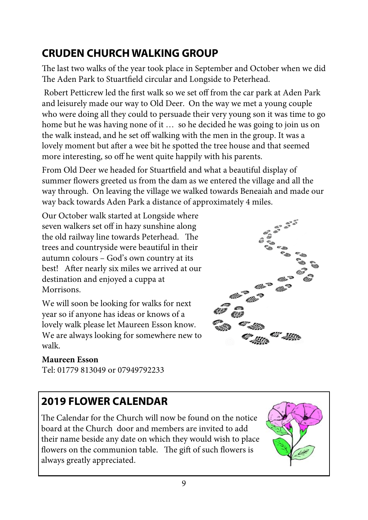# **CRUDEN CHURCH WALKING GROUP**

The last two walks of the year took place in September and October when we did The Aden Park to Stuartfield circular and Longside to Peterhead.

 Robert Petticrew led the first walk so we set off from the car park at Aden Park and leisurely made our way to Old Deer. On the way we met a young couple who were doing all they could to persuade their very young son it was time to go home but he was having none of it … so he decided he was going to join us on the walk instead, and he set off walking with the men in the group. It was a lovely moment but after a wee bit he spotted the tree house and that seemed more interesting, so off he went quite happily with his parents.

From Old Deer we headed for Stuartfield and what a beautiful display of summer flowers greeted us from the dam as we entered the village and all the way through. On leaving the village we walked towards Beneaiah and made our way back towards Aden Park a distance of approximately 4 miles.

Our October walk started at Longside where seven walkers set off in hazy sunshine along the old railway line towards Peterhead. The trees and countryside were beautiful in their autumn colours – God's own country at its best! After nearly six miles we arrived at our destination and enjoyed a cuppa at **Morrisons** 

We will soon be looking for walks for next year so if anyone has ideas or knows of a lovely walk please let Maureen Esson know. We are always looking for somewhere new to walk.

#### **Maureen Esson**

Tel: 01779 813049 or 07949792233

# **2019 FLOWER CALENDAR**

The Calendar for the Church will now be found on the notice board at the Church door and members are invited to add their name beside any date on which they would wish to place flowers on the communion table. The gift of such flowers is always greatly appreciated.



9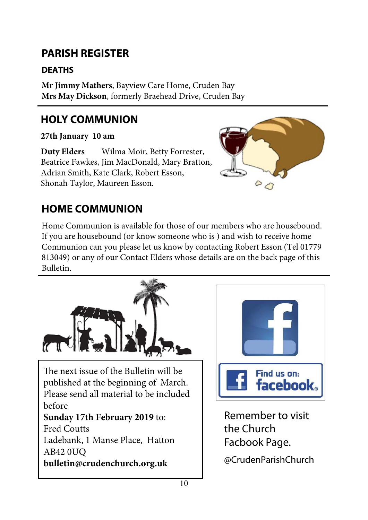# **PARISH REGISTER**

#### **DEATHS**

**Mr Jimmy Mathers**, Bayview Care Home, Cruden Bay **Mrs May Dickson**, formerly Braehead Drive, Cruden Bay

# **HOLY COMMUNION**

**27th January 10 am** 

**Duty Elders** Wilma Moir, Betty Forrester, Beatrice Fawkes, Jim MacDonald, Mary Bratton, Adrian Smith, Kate Clark, Robert Esson, Shonah Taylor, Maureen Esson.



# **HOME COMMUNION**

Home Communion is available for those of our members who are housebound. If you are housebound (or know someone who is ) and wish to receive home Communion can you please let us know by contacting Robert Esson (Tel 01779 813049) or any of our Contact Elders whose details are on the back page of this Bulletin.





10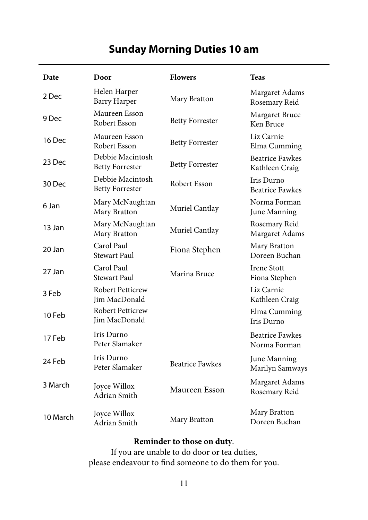### **Sunday Morning Duties 10 am**

| Date     | Door                                       | <b>Flowers</b>         | <b>Teas</b>                              |
|----------|--------------------------------------------|------------------------|------------------------------------------|
| 2 Dec    | Helen Harper<br><b>Barry Harper</b>        | Mary Bratton           | Margaret Adams<br>Rosemary Reid          |
| 9 Dec    | Maureen Esson<br>Robert Esson              | <b>Betty Forrester</b> | Margaret Bruce<br>Ken Bruce              |
| 16 Dec   | Maureen Esson<br>Robert Esson              | <b>Betty Forrester</b> | Liz Carnie<br>Elma Cumming               |
| 23 Dec   | Debbie Macintosh<br><b>Betty Forrester</b> | <b>Betty Forrester</b> | <b>Beatrice Fawkes</b><br>Kathleen Craig |
| 30 Dec   | Debbie Macintosh<br><b>Betty Forrester</b> | Robert Esson           | Iris Durno<br><b>Beatrice Fawkes</b>     |
| 6 Jan    | Mary McNaughtan<br>Mary Bratton            | Muriel Cantlay         | Norma Forman<br>June Manning             |
| 13 Jan   | Mary McNaughtan<br>Mary Bratton            | Muriel Cantlay         | Rosemary Reid<br>Margaret Adams          |
| 20 Jan   | Carol Paul<br>Stewart Paul                 | Fiona Stephen          | Mary Bratton<br>Doreen Buchan            |
| 27 Jan   | Carol Paul<br><b>Stewart Paul</b>          | Marina Bruce           | <b>Irene Stott</b><br>Fiona Stephen      |
| 3 Feb    | <b>Robert Petticrew</b><br>Jim MacDonald   |                        | Liz Carnie<br>Kathleen Craig             |
| 10 Feb   | <b>Robert Petticrew</b><br>Jim MacDonald   |                        | Elma Cumming<br>Iris Durno               |
| 17 Feb   | Iris Durno<br>Peter Slamaker               |                        | <b>Beatrice Fawkes</b><br>Norma Forman   |
| 24 Feb   | Iris Durno<br>Peter Slamaker               | <b>Beatrice Fawkes</b> | June Manning<br>Marilyn Samways          |
| 3 March  | Joyce Willox<br>Adrian Smith               | Maureen Esson          | Margaret Adams<br>Rosemary Reid          |
| 10 March | Joyce Willox<br>Adrian Smith               | Mary Bratton           | Mary Bratton<br>Doreen Buchan            |

#### **Reminder to those on duty**.

If you are unable to do door or tea duties, please endeavour to find someone to do them for you.